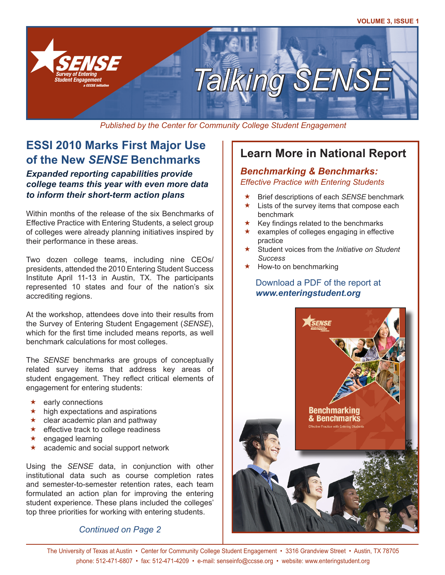

*Published by the Center for Community College Student Engagement*

# **ESSI 2010 Marks First Major Use of the New** *SENSE* **Benchmarks**

#### *Expanded reporting capabilities provide college teams this year with even more data to inform their short-term action plans*

Within months of the release of the six Benchmarks of Effective Practice with Entering Students, a select group of colleges were already planning initiatives inspired by their performance in these areas.

Two dozen college teams, including nine CEOs/ presidents, attended the 2010 Entering Student Success Institute April 11-13 in Austin, TX. The participants represented 10 states and four of the nation's six accrediting regions.

At the workshop, attendees dove into their results from the Survey of Entering Student Engagement (*SENSE*), which for the first time included means reports, as well benchmark calculations for most colleges.

The *SENSE* benchmarks are groups of conceptually related survey items that address key areas of student engagement. They reflect critical elements of engagement for entering students:

- $\star$  early connections
- $\star$  high expectations and aspirations
- $\star$  clear academic plan and pathway
- $\star$  effective track to college readiness
- $\star$  engaged learning
- \* academic and social support network

Using the *SENSE* data, in conjunction with other institutional data such as course completion rates and semester-to-semester retention rates, each team formulated an action plan for improving the entering student experience. These plans included the colleges' top three priorities for working with entering students.

#### *Continued on Page 2*

# **Learn More in National Report**

## *[Benchmarking & Benchmarks:](http://www.ccsse.org/sense/resources/publications/SENSE_Benchmarking_and_Benchmarks_3-29-10.pdf)*

*Effective Practice with Entering Students*

- Brief descriptions of each *SENSE* benchmark
- $\star$  Lists of the survey items that compose each benchmark
- $\star$  Key findings related to the benchmarks
- $\star$  examples of colleges engaging in effective practice
- Student voices from the *Initiative on Student Success*
- $\star$  How-to on benchmarking

## *www.enteringstudent.org* Download a PDF of the report at